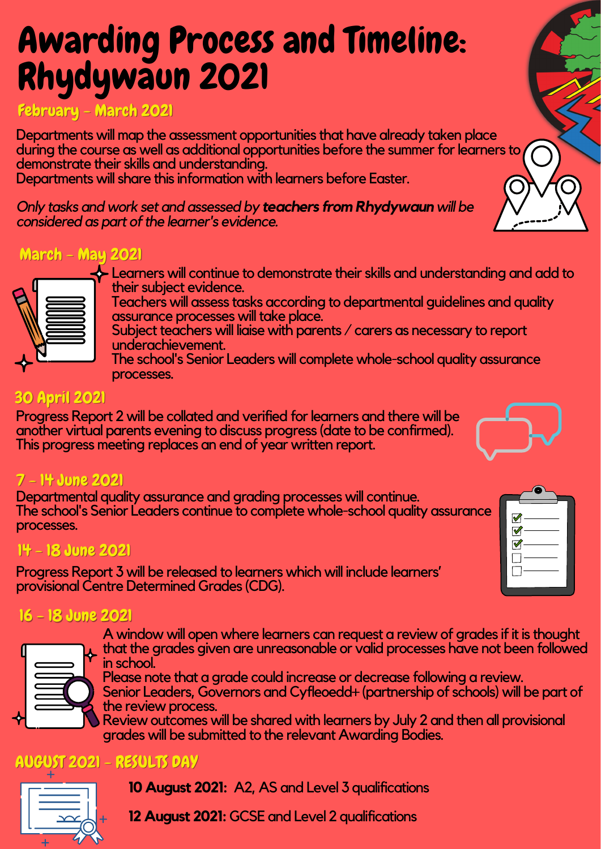# Awarding Process and Timeline: Rhydywaun 2021

# February - March 2021

Departments will map the assessment opportunities that have already taken place during the course as well as additional opportunities before the summer for learners to demonstrate their skills and understanding. Departments will share this information with learners before Easter.

*Only tasks and work set and assessed by teachers from Rhydywaun will be considered as part of the learner's evidence.* 

# March - May 2021

- $\cdot$  Learners will continue to demonstrate their skills and understanding and add to their subject evidence.
- Teachers will assess tasks according to departmental guidelines and quality assurance processes will take place.
- Subject teachers will liaise with parents / carers as necessary to report underachievement.
- The school's Senior Leaders will complete whole-school quality assurance processes.

### 30 April 2021

Progress Report 2 will be collated and verified for learners and there will be another virtual parents evening to discuss progress (date to be confirmed).<br>This progress meeting replaces an end of year written report.



### 7 – 14 June 2021

Departmental quality assurance and grading processes will continue.<br>The school's Senior Leaders continue to complete whole-school quality assurance processes.

## 14 - 18 June 2021

Progress Report 3 will be released to learners which will include learners' provisional Centre Determined Grades (CDG).

### 16 - 18 June 2021

A window will open where learners can request a review of grades if it is thought that the grades given are unreasonable or valid processes have not been followed

in school.<br>Please note that a grade could increase or decrease following a review.<br>Senior Leaders, Governors and Cyfleoedd+ (partnership of schools) will be part of

the review process.<br>Review outcomes will be shared with learners by July 2 and then all provisional

grades will be submitted to the relevant Awarding Bodies.

# AUGUST 2021 - RESULTS DAY



**10 August 2021: A2, AS and Level 3 qualifications** 

**12 August 2021: GCSE and Level 2 qualifications** 

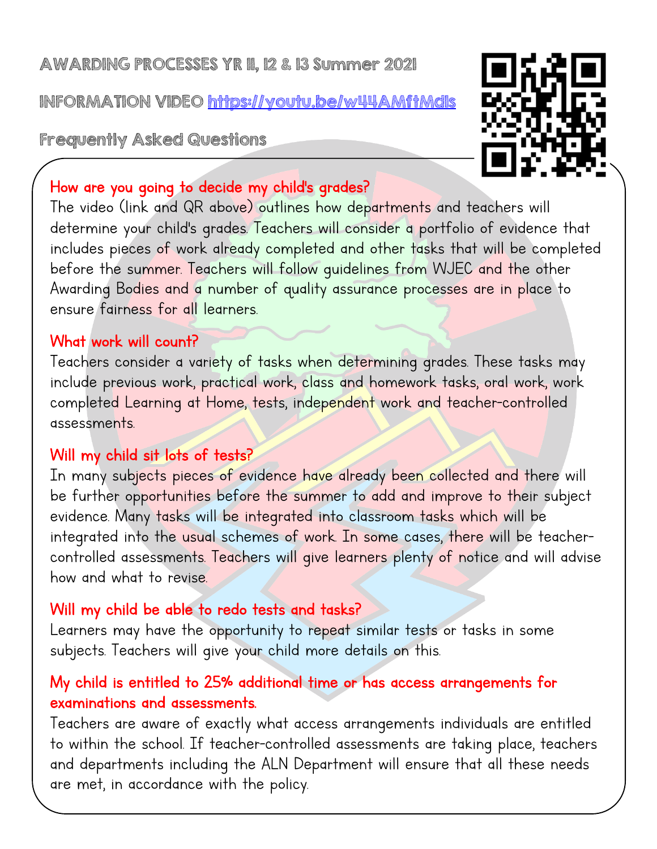### AWARDING PROCESSES YR 11, 12 & 13 Summer 2021

INFORMATION VIDEO https://youtu.be/w44AMftMd1s

Frequently Asked Questions



### How are you going to decide my child's grades?

The video (link and QR above) outlines how departments and teachers will determine your child's grades. Teachers will consider a portfolio of evidence that includes pieces of work already completed and other tasks that will be completed before the summer. Teachers will follow guidelines from WJEC and the other Awarding Bodies and a number of quality assurance processes are in place to ensure fairness for all learners.

#### What work will count?

Teachers consider a variety of tasks when determining grades. These tasks may include previous work, practical work, class and homework tasks, oral work, work completed Learning at Home, tests, independent work and teacher-controlled assessments.

#### Will my child sit lots of tests?

In many subjects pieces of evidence have already been collected and there will be further opportunities before the summer to add and improve to their subject evidence. Many tasks will be integrated into classroom tasks which will be integrated into the usual schemes of work. In some cases, there will be teacher-<br>controlled assessments. Teachers will give learners plenty of notice and will advise how and what to revise.

### Will my child be able to redo tests and tasks?

Learners may have the opportunity to repeat similar tests or tasks in some subjects. Teachers will give your child more details on this.

### My child is entitled to 25% additional time or has access arrangements for examinations and assessments.

Teachers are aware of exactly what access arrangements individuals are entitled to within the school. If teacher-controlled assessments are taking place, teachers and departments including the ALN Department will ensure that all these needs are met, in accordance with the policy.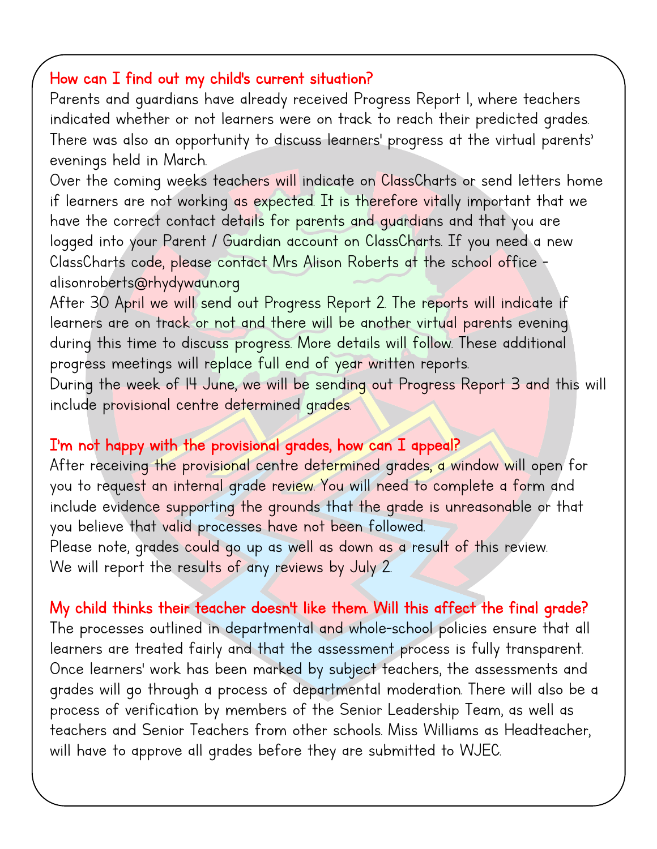#### How can I find out my child's current situation?

Parents and guardians have already received Progress Report 1, where teachers indicated whether or not learners were on track to reach their predicted grades. There was also an opportunity to discuss learners' progress at the virtual parents' evenings held in March.

Over the coming weeks teachers will indicate on ClassCharts or send letters home if learners are not working as expected. It is therefore vitally important that we have the correct contact details for parents and guardians and that you are logged into your Parent / Guardian account on ClassCharts. If you need a new ClassCharts code, please contact Mrs Alison Roberts at the school office -<br>alisonroberts@rhydywaun.org

After 30 April we will send out Progress Report 2. The reports will indicate if learners are on track or not and there will be another virtual parents evening during this time to discuss progress. More details will follow. These additional progress meetings will replace full end of year written reports.

During the week of I4 June, we will be sending out Progress Report 3 and this will include provisional centre determined grades.

#### I'm not happy with the provisional grades, how can I appeal?

After receiving the provisional centre determined grades, a window will open for you to request an internal grade review. You will need to complete a form and include evidence supporting the grounds that the grade is unreasonable or that you believe that valid processes have not been followed. Please note, grades could go up as well as down as a result of this review.

We will report the results of any reviews by July 2.

My child thinks their teacher doesn't like them. Will this affect the final grade? The processes outlined in departmental and whole-school policies ensure that all learners are treated fairly and that the assessment process is fully transparent. Once learners' work has been marked by subject teachers, the assessments and grades will go through a process of departmental moderation. There will also be a process of verification by members of the Senior Leadership Team, as well as teachers and Senior Teachers from other schools. Miss Williams as Headteacher, will have to approve all grades before they are submitted to WJEC.